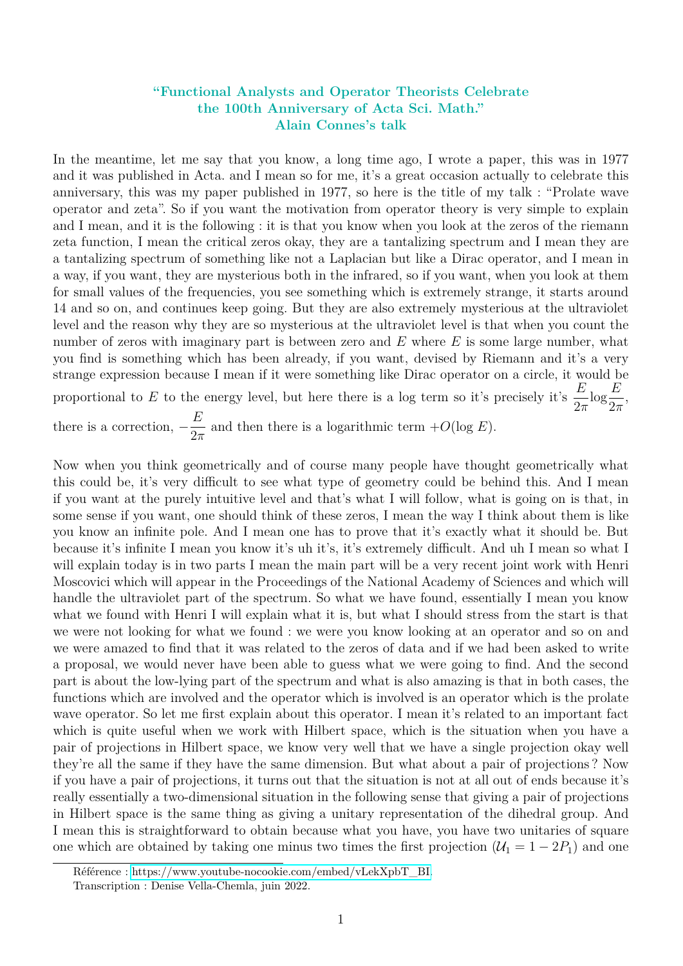## **"Functional Analysts and Operator Theorists Celebrate the 100th Anniversary of Acta Sci. Math." Alain Connes's talk**

In the meantime, let me say that you know, a long time ago, I wrote a paper, this was in 1977 and it was published in Acta. and I mean so for me, it's a great occasion actually to celebrate this anniversary, this was my paper published in 1977, so here is the title of my talk : "Prolate wave operator and zeta". So if you want the motivation from operator theory is very simple to explain and I mean, and it is the following : it is that you know when you look at the zeros of the riemann zeta function, I mean the critical zeros okay, they are a tantalizing spectrum and I mean they are a tantalizing spectrum of something like not a Laplacian but like a Dirac operator, and I mean in a way, if you want, they are mysterious both in the infrared, so if you want, when you look at them for small values of the frequencies, you see something which is extremely strange, it starts around 14 and so on, and continues keep going. But they are also extremely mysterious at the ultraviolet level and the reason why they are so mysterious at the ultraviolet level is that when you count the number of zeros with imaginary part is between zero and *E* where *E* is some large number, what you find is something which has been already, if you want, devised by Riemann and it's a very strange expression because I mean if it were something like Dirac operator on a circle, it would be proportional to *E* to the energy level, but here there is a log term so it's precisely it's  $\frac{E}{2}$ 2*π*  $\log \frac{E}{2}$ 2*π* , there is a correction,  $-\frac{E}{2}$ 2*π* and then there is a logarithmic term  $+O(\log E)$ .

Now when you think geometrically and of course many people have thought geometrically what this could be, it's very difficult to see what type of geometry could be behind this. And I mean if you want at the purely intuitive level and that's what I will follow, what is going on is that, in some sense if you want, one should think of these zeros, I mean the way I think about them is like you know an infinite pole. And I mean one has to prove that it's exactly what it should be. But because it's infinite I mean you know it's uh it's, it's extremely difficult. And uh I mean so what I will explain today is in two parts I mean the main part will be a very recent joint work with Henri Moscovici which will appear in the Proceedings of the National Academy of Sciences and which will handle the ultraviolet part of the spectrum. So what we have found, essentially I mean you know what we found with Henri I will explain what it is, but what I should stress from the start is that we were not looking for what we found : we were you know looking at an operator and so on and we were amazed to find that it was related to the zeros of data and if we had been asked to write a proposal, we would never have been able to guess what we were going to find. And the second part is about the low-lying part of the spectrum and what is also amazing is that in both cases, the functions which are involved and the operator which is involved is an operator which is the prolate wave operator. So let me first explain about this operator. I mean it's related to an important fact which is quite useful when we work with Hilbert space, which is the situation when you have a pair of projections in Hilbert space, we know very well that we have a single projection okay well they're all the same if they have the same dimension. But what about a pair of projections ? Now if you have a pair of projections, it turns out that the situation is not at all out of ends because it's really essentially a two-dimensional situation in the following sense that giving a pair of projections in Hilbert space is the same thing as giving a unitary representation of the dihedral group. And I mean this is straightforward to obtain because what you have, you have two unitaries of square one which are obtained by taking one minus two times the first projection  $(\mathcal{U}_1 = 1 - 2P_1)$  and one

Référence : [https://www.youtube-nocookie.com/embed/vLekXpbT\\_BI.](https://www.youtube-nocookie.com/embed/vLekXpbT_BI)

Transcription : Denise Vella-Chemla, juin 2022.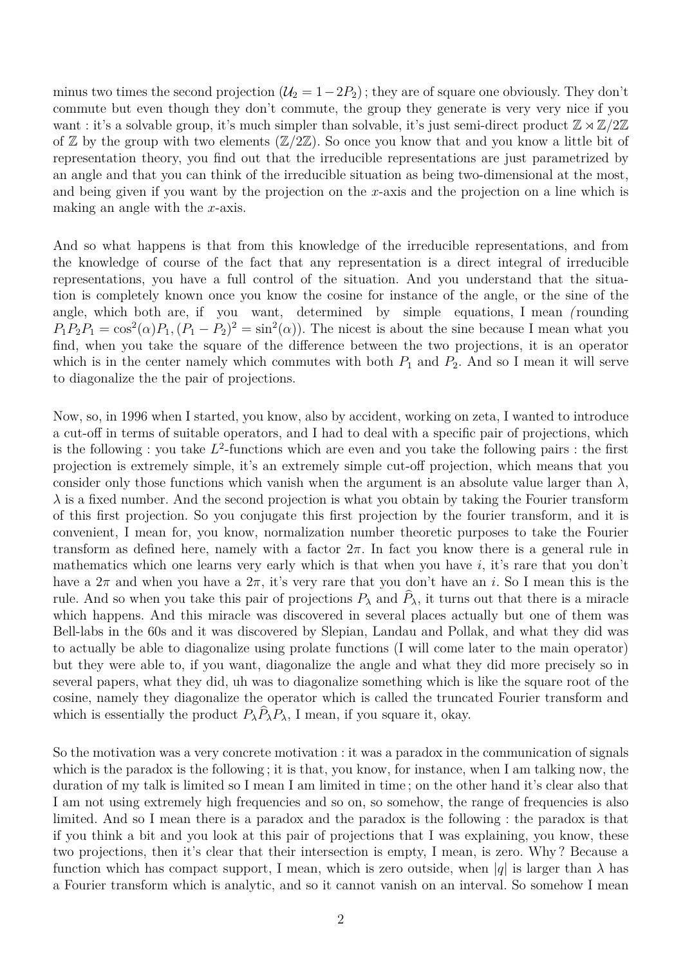minus two times the second projection  $(\mathcal{U}_2 = 1 - 2P_2)$ ; they are of square one obviously. They don't commute but even though they don't commute, the group they generate is very very nice if you want : it's a solvable group, it's much simpler than solvable, it's just semi-direct product  $\mathbb{Z} \rtimes \mathbb{Z}/2\mathbb{Z}$ of  $\mathbb Z$  by the group with two elements  $(\mathbb Z/2\mathbb Z)$ . So once you know that and you know a little bit of representation theory, you find out that the irreducible representations are just parametrized by an angle and that you can think of the irreducible situation as being two-dimensional at the most, and being given if you want by the projection on the *x*-axis and the projection on a line which is making an angle with the *x*-axis.

And so what happens is that from this knowledge of the irreducible representations, and from the knowledge of course of the fact that any representation is a direct integral of irreducible representations, you have a full control of the situation. And you understand that the situation is completely known once you know the cosine for instance of the angle, or the sine of the angle, which both are, if you want, determined by simple equations, I mean *(* rounding  $P_1P_2P_1 = \cos^2(\alpha)P_1$ ,  $(P_1 - P_2)^2 = \sin^2(\alpha)$ . The nicest is about the sine because I mean what you find, when you take the square of the difference between the two projections, it is an operator which is in the center namely which commutes with both  $P_1$  and  $P_2$ . And so I mean it will serve to diagonalize the the pair of projections.

Now, so, in 1996 when I started, you know, also by accident, working on zeta, I wanted to introduce a cut-off in terms of suitable operators, and I had to deal with a specific pair of projections, which is the following : you take  $L^2$ -functions which are even and you take the following pairs : the first projection is extremely simple, it's an extremely simple cut-off projection, which means that you consider only those functions which vanish when the argument is an absolute value larger than  $\lambda$ ,  $\lambda$  is a fixed number. And the second projection is what you obtain by taking the Fourier transform of this first projection. So you conjugate this first projection by the fourier transform, and it is convenient, I mean for, you know, normalization number theoretic purposes to take the Fourier transform as defined here, namely with a factor  $2\pi$ . In fact you know there is a general rule in mathematics which one learns very early which is that when you have *i*, it's rare that you don't have a  $2\pi$  and when you have a  $2\pi$ , it's very rare that you don't have an *i*. So I mean this is the rule. And so when you take this pair of projections  $P_\lambda$  and  $\hat{P}_\lambda$ , it turns out that there is a miracle which happens. And this miracle was discovered in several places actually but one of them was Bell-labs in the 60s and it was discovered by Slepian, Landau and Pollak, and what they did was to actually be able to diagonalize using prolate functions (I will come later to the main operator) but they were able to, if you want, diagonalize the angle and what they did more precisely so in several papers, what they did, uh was to diagonalize something which is like the square root of the cosine, namely they diagonalize the operator which is called the truncated Fourier transform and which is essentially the product  $P_{\lambda}P_{\lambda}P_{\lambda}$ , I mean, if you square it, okay.

So the motivation was a very concrete motivation : it was a paradox in the communication of signals which is the paradox is the following ; it is that, you know, for instance, when I am talking now, the duration of my talk is limited so I mean I am limited in time ; on the other hand it's clear also that I am not using extremely high frequencies and so on, so somehow, the range of frequencies is also limited. And so I mean there is a paradox and the paradox is the following : the paradox is that if you think a bit and you look at this pair of projections that I was explaining, you know, these two projections, then it's clear that their intersection is empty, I mean, is zero. Why ? Because a function which has compact support, I mean, which is zero outside, when  $|q|$  is larger than  $\lambda$  has a Fourier transform which is analytic, and so it cannot vanish on an interval. So somehow I mean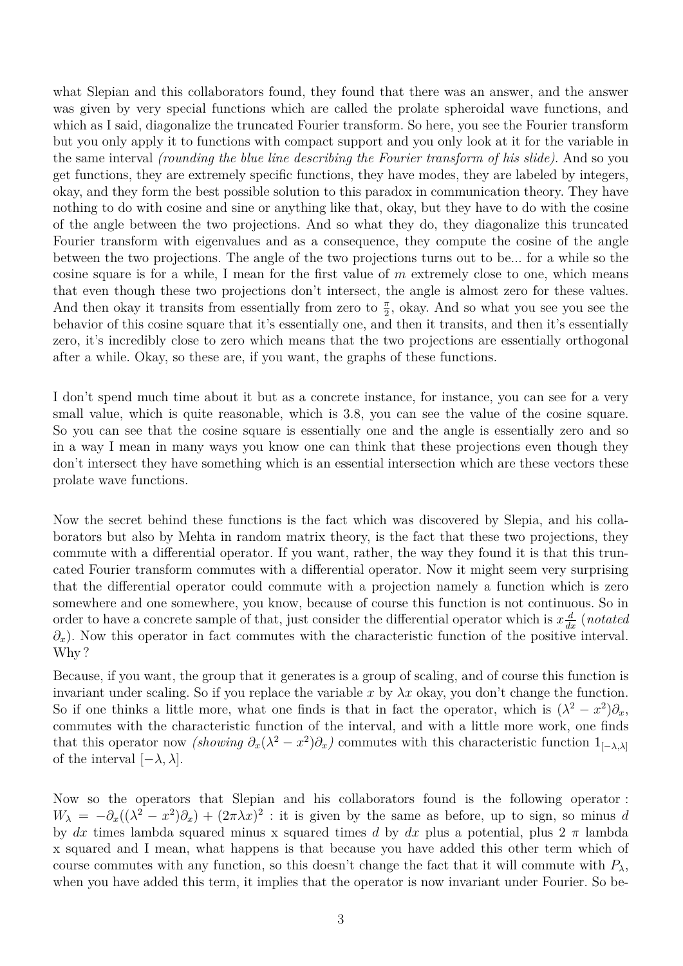what Slepian and this collaborators found, they found that there was an answer, and the answer was given by very special functions which are called the prolate spheroidal wave functions, and which as I said, diagonalize the truncated Fourier transform. So here, you see the Fourier transform but you only apply it to functions with compact support and you only look at it for the variable in the same interval *(rounding the blue line describing the Fourier transform of his slide)*. And so you get functions, they are extremely specific functions, they have modes, they are labeled by integers, okay, and they form the best possible solution to this paradox in communication theory. They have nothing to do with cosine and sine or anything like that, okay, but they have to do with the cosine of the angle between the two projections. And so what they do, they diagonalize this truncated Fourier transform with eigenvalues and as a consequence, they compute the cosine of the angle between the two projections. The angle of the two projections turns out to be... for a while so the cosine square is for a while, I mean for the first value of *m* extremely close to one, which means that even though these two projections don't intersect, the angle is almost zero for these values. And then okay it transits from essentially from zero to  $\frac{\pi}{2}$ , okay. And so what you see you see the behavior of this cosine square that it's essentially one, and then it transits, and then it's essentially zero, it's incredibly close to zero which means that the two projections are essentially orthogonal after a while. Okay, so these are, if you want, the graphs of these functions.

I don't spend much time about it but as a concrete instance, for instance, you can see for a very small value, which is quite reasonable, which is 3.8, you can see the value of the cosine square. So you can see that the cosine square is essentially one and the angle is essentially zero and so in a way I mean in many ways you know one can think that these projections even though they don't intersect they have something which is an essential intersection which are these vectors these prolate wave functions.

Now the secret behind these functions is the fact which was discovered by Slepia, and his collaborators but also by Mehta in random matrix theory, is the fact that these two projections, they commute with a differential operator. If you want, rather, the way they found it is that this truncated Fourier transform commutes with a differential operator. Now it might seem very surprising that the differential operator could commute with a projection namely a function which is zero somewhere and one somewhere, you know, because of course this function is not continuous. So in order to have a concrete sample of that, just consider the differential operator which is  $x \frac{d}{dx}$  (*notated ∂*<sub>*x*</sub>). Now this operator in fact commutes with the characteristic function of the positive interval. Why?

Because, if you want, the group that it generates is a group of scaling, and of course this function is invariant under scaling. So if you replace the variable x by  $\lambda x$  okay, you don't change the function. So if one thinks a little more, what one finds is that in fact the operator, which is  $(\lambda^2 - x^2)\partial_x$ , commutes with the characteristic function of the interval, and with a little more work, one finds that this operator now *(showing*  $\partial_x(\lambda^2 - x^2)\partial_x$ ) commutes with this characteristic function 1<sub>[−*λ*,*λ*]</sub> of the interval  $[-\lambda, \lambda]$ .

Now so the operators that Slepian and his collaborators found is the following operator :  $W_{\lambda} = -\partial_x((\lambda^2 - x^2)\partial_x) + (2\pi\lambda x)^2$ : it is given by the same as before, up to sign, so minus *d* by *dx* times lambda squared minus x squared times *d* by *dx* plus a potential, plus  $2 \pi$  lambda x squared and I mean, what happens is that because you have added this other term which of course commutes with any function, so this doesn't change the fact that it will commute with  $P_\lambda$ , when you have added this term, it implies that the operator is now invariant under Fourier. So be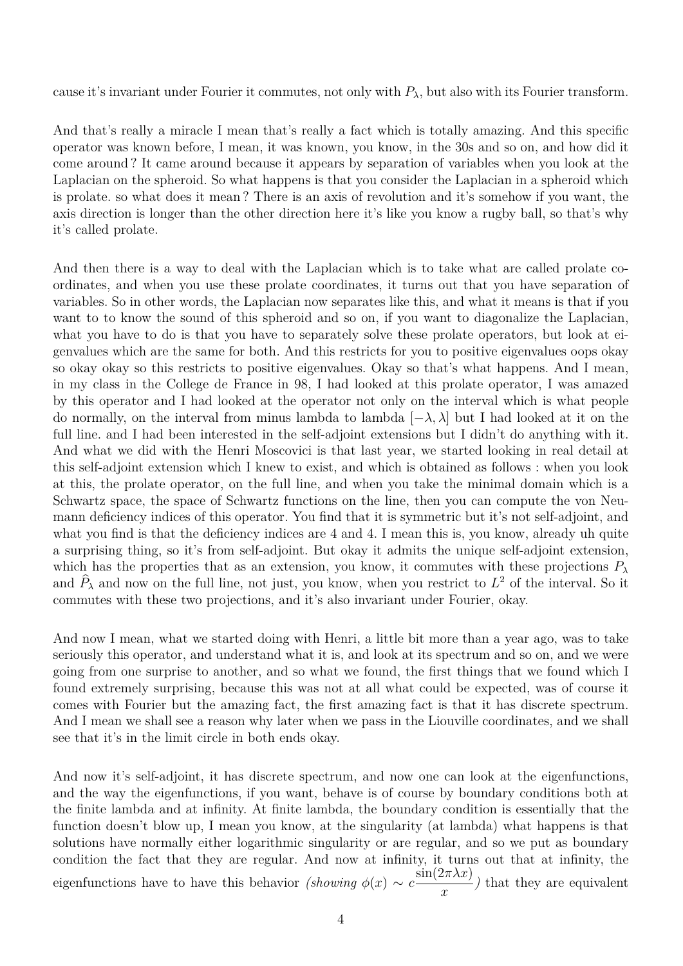cause it's invariant under Fourier it commutes, not only with  $P_\lambda$ , but also with its Fourier transform.

And that's really a miracle I mean that's really a fact which is totally amazing. And this specific operator was known before, I mean, it was known, you know, in the 30s and so on, and how did it come around ? It came around because it appears by separation of variables when you look at the Laplacian on the spheroid. So what happens is that you consider the Laplacian in a spheroid which is prolate. so what does it mean ? There is an axis of revolution and it's somehow if you want, the axis direction is longer than the other direction here it's like you know a rugby ball, so that's why it's called prolate.

And then there is a way to deal with the Laplacian which is to take what are called prolate coordinates, and when you use these prolate coordinates, it turns out that you have separation of variables. So in other words, the Laplacian now separates like this, and what it means is that if you want to to know the sound of this spheroid and so on, if you want to diagonalize the Laplacian, what you have to do is that you have to separately solve these prolate operators, but look at eigenvalues which are the same for both. And this restricts for you to positive eigenvalues oops okay so okay okay so this restricts to positive eigenvalues. Okay so that's what happens. And I mean, in my class in the College de France in 98, I had looked at this prolate operator, I was amazed by this operator and I had looked at the operator not only on the interval which is what people do normally, on the interval from minus lambda to lambda [−*λ, λ*] but I had looked at it on the full line. and I had been interested in the self-adjoint extensions but I didn't do anything with it. And what we did with the Henri Moscovici is that last year, we started looking in real detail at this self-adjoint extension which I knew to exist, and which is obtained as follows : when you look at this, the prolate operator, on the full line, and when you take the minimal domain which is a Schwartz space, the space of Schwartz functions on the line, then you can compute the von Neumann deficiency indices of this operator. You find that it is symmetric but it's not self-adjoint, and what you find is that the deficiency indices are 4 and 4. I mean this is, you know, already uh quite a surprising thing, so it's from self-adjoint. But okay it admits the unique self-adjoint extension, which has the properties that as an extension, you know, it commutes with these projections  $P_\lambda$ and  $\hat{P}_{\lambda}$  and now on the full line, not just, you know, when you restrict to  $L^2$  of the interval. So it commutes with these two projections, and it's also invariant under Fourier, okay.

And now I mean, what we started doing with Henri, a little bit more than a year ago, was to take seriously this operator, and understand what it is, and look at its spectrum and so on, and we were going from one surprise to another, and so what we found, the first things that we found which I found extremely surprising, because this was not at all what could be expected, was of course it comes with Fourier but the amazing fact, the first amazing fact is that it has discrete spectrum. And I mean we shall see a reason why later when we pass in the Liouville coordinates, and we shall see that it's in the limit circle in both ends okay.

And now it's self-adjoint, it has discrete spectrum, and now one can look at the eigenfunctions, and the way the eigenfunctions, if you want, behave is of course by boundary conditions both at the finite lambda and at infinity. At finite lambda, the boundary condition is essentially that the function doesn't blow up, I mean you know, at the singularity (at lambda) what happens is that solutions have normally either logarithmic singularity or are regular, and so we put as boundary condition the fact that they are regular. And now at infinity, it turns out that at infinity, the eigenfunctions have to have this behavior *(showing*  $\phi(x) \sim c \frac{\sin(2\pi \lambda x)}{x}$ *x )* that they are equivalent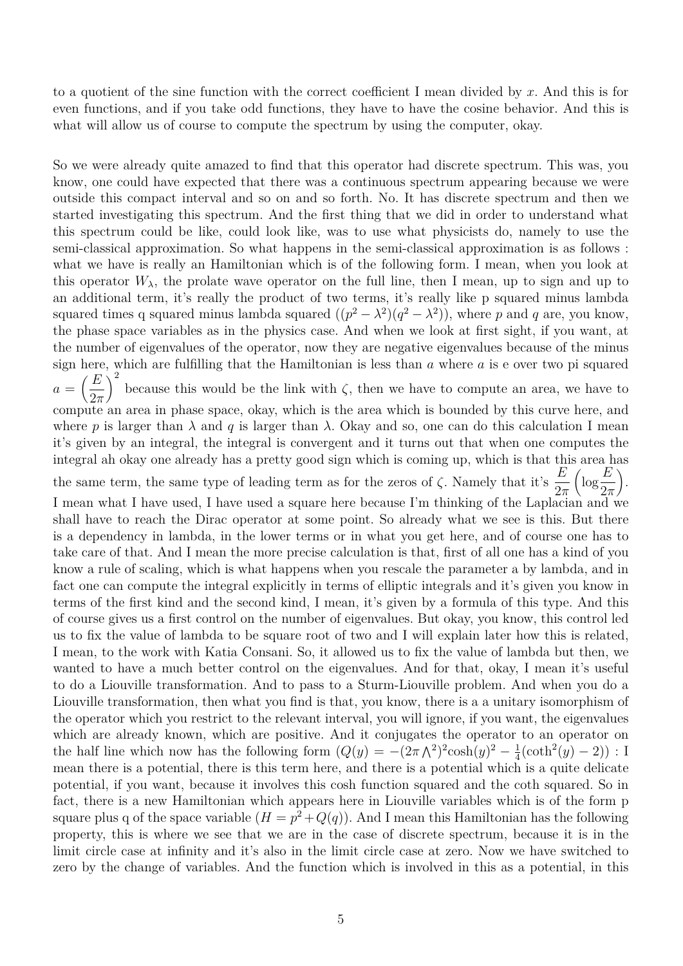to a quotient of the sine function with the correct coefficient I mean divided by *x*. And this is for even functions, and if you take odd functions, they have to have the cosine behavior. And this is what will allow us of course to compute the spectrum by using the computer, okay.

So we were already quite amazed to find that this operator had discrete spectrum. This was, you know, one could have expected that there was a continuous spectrum appearing because we were outside this compact interval and so on and so forth. No. It has discrete spectrum and then we started investigating this spectrum. And the first thing that we did in order to understand what this spectrum could be like, could look like, was to use what physicists do, namely to use the semi-classical approximation. So what happens in the semi-classical approximation is as follows : what we have is really an Hamiltonian which is of the following form. I mean, when you look at this operator  $W_{\lambda}$ , the prolate wave operator on the full line, then I mean, up to sign and up to an additional term, it's really the product of two terms, it's really like p squared minus lambda squared times q squared minus lambda squared  $((p^2 - \lambda^2)(q^2 - \lambda^2))$ , where p and q are, you know, the phase space variables as in the physics case. And when we look at first sight, if you want, at the number of eigenvalues of the operator, now they are negative eigenvalues because of the minus sign here, which are fulfilling that the Hamiltonian is less than *a* where *a* is e over two pi squared  $a = \left(\frac{E}{2}\right)$ 2*π*  $\int_{0}^{2}$  because this would be the link with  $\zeta$ , then we have to compute an area, we have to compute an area in phase space, okay, which is the area which is bounded by this curve here, and where p is larger than  $\lambda$  and q is larger than  $\lambda$ . Okay and so, one can do this calculation I mean it's given by an integral, the integral is convergent and it turns out that when one computes the integral ah okay one already has a pretty good sign which is coming up, which is that this area has the same term, the same type of leading term as for the zeros of  $\zeta$ . Namely that it's  $\frac{E}{\zeta}$ 2*π*  $\left(\log \frac{E}{2}\right)$ 2*π* . I mean what I have used, I have used a square here because I'm thinking of the Laplacian and we shall have to reach the Dirac operator at some point. So already what we see is this. But there is a dependency in lambda, in the lower terms or in what you get here, and of course one has to take care of that. And I mean the more precise calculation is that, first of all one has a kind of you know a rule of scaling, which is what happens when you rescale the parameter a by lambda, and in fact one can compute the integral explicitly in terms of elliptic integrals and it's given you know in terms of the first kind and the second kind, I mean, it's given by a formula of this type. And this of course gives us a first control on the number of eigenvalues. But okay, you know, this control led us to fix the value of lambda to be square root of two and I will explain later how this is related, I mean, to the work with Katia Consani. So, it allowed us to fix the value of lambda but then, we wanted to have a much better control on the eigenvalues. And for that, okay, I mean it's useful to do a Liouville transformation. And to pass to a Sturm-Liouville problem. And when you do a Liouville transformation, then what you find is that, you know, there is a a unitary isomorphism of the operator which you restrict to the relevant interval, you will ignore, if you want, the eigenvalues which are already known, which are positive. And it conjugates the operator to an operator on the half line which now has the following form  $(Q(y) = -(2\pi \Lambda^2)^2 \cosh(y)^2 - \frac{1}{4}$  $\frac{1}{4}(\coth^2(y) - 2)) : I$ mean there is a potential, there is this term here, and there is a potential which is a quite delicate potential, if you want, because it involves this cosh function squared and the coth squared. So in fact, there is a new Hamiltonian which appears here in Liouville variables which is of the form p square plus q of the space variable  $(H = p^2 + Q(q))$ . And I mean this Hamiltonian has the following property, this is where we see that we are in the case of discrete spectrum, because it is in the limit circle case at infinity and it's also in the limit circle case at zero. Now we have switched to zero by the change of variables. And the function which is involved in this as a potential, in this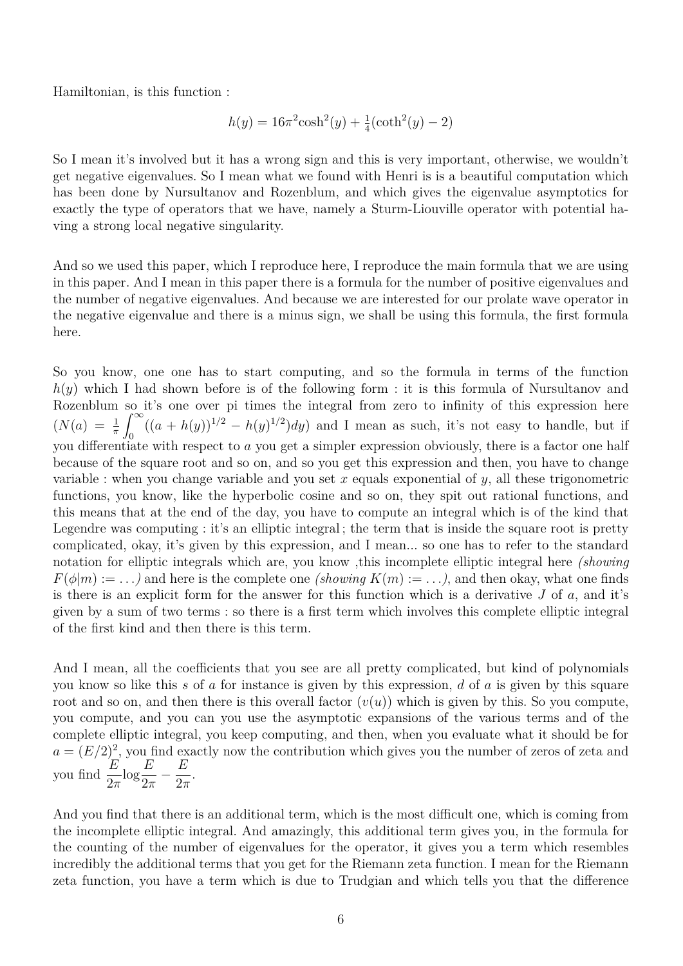Hamiltonian, is this function :

$$
h(y) = 16\pi^{2}\cosh^{2}(y) + \frac{1}{4}(\coth^{2}(y) - 2)
$$

So I mean it's involved but it has a wrong sign and this is very important, otherwise, we wouldn't get negative eigenvalues. So I mean what we found with Henri is is a beautiful computation which has been done by Nursultanov and Rozenblum, and which gives the eigenvalue asymptotics for exactly the type of operators that we have, namely a Sturm-Liouville operator with potential having a strong local negative singularity.

And so we used this paper, which I reproduce here, I reproduce the main formula that we are using in this paper. And I mean in this paper there is a formula for the number of positive eigenvalues and the number of negative eigenvalues. And because we are interested for our prolate wave operator in the negative eigenvalue and there is a minus sign, we shall be using this formula, the first formula here.

So you know, one one has to start computing, and so the formula in terms of the function *h*(*y*) which I had shown before is of the following form : it is this formula of Nursultanov and Rozenblum so it's one over pi times the integral from zero to infinity of this expression here  $(N(a) = \frac{1}{\pi})$  $\int^{\infty}$  $\int_0^{\infty} ((a + h(y))^{1/2} - h(y)^{1/2}) dy$  and I mean as such, it's not easy to handle, but if you differentiate with respect to *a* you get a simpler expression obviously, there is a factor one half because of the square root and so on, and so you get this expression and then, you have to change variable : when you change variable and you set *x* equals exponential of *y*, all these trigonometric functions, you know, like the hyperbolic cosine and so on, they spit out rational functions, and this means that at the end of the day, you have to compute an integral which is of the kind that Legendre was computing : it's an elliptic integral; the term that is inside the square root is pretty complicated, okay, it's given by this expression, and I mean... so one has to refer to the standard notation for elliptic integrals which are, you know ,this incomplete elliptic integral here *(showing*  $F(\phi|m) := \ldots$  and here is the complete one *(showing*  $K(m) := \ldots$ ), and then okay, what one finds is there is an explicit form for the answer for this function which is a derivative *J* of *a*, and it's given by a sum of two terms : so there is a first term which involves this complete elliptic integral of the first kind and then there is this term.

And I mean, all the coefficients that you see are all pretty complicated, but kind of polynomials you know so like this *s* of *a* for instance is given by this expression, *d* of *a* is given by this square root and so on, and then there is this overall factor  $(v(u))$  which is given by this. So you compute, you compute, and you can you use the asymptotic expansions of the various terms and of the complete elliptic integral, you keep computing, and then, when you evaluate what it should be for  $a = (E/2)^2$ , you find exactly now the contribution which gives you the number of zeros of zeta and you find  $\frac{E}{2}$ 2*π*  $\log \frac{E}{2}$ 2*π* − *E* 2*π* .

And you find that there is an additional term, which is the most difficult one, which is coming from the incomplete elliptic integral. And amazingly, this additional term gives you, in the formula for the counting of the number of eigenvalues for the operator, it gives you a term which resembles incredibly the additional terms that you get for the Riemann zeta function. I mean for the Riemann zeta function, you have a term which is due to Trudgian and which tells you that the difference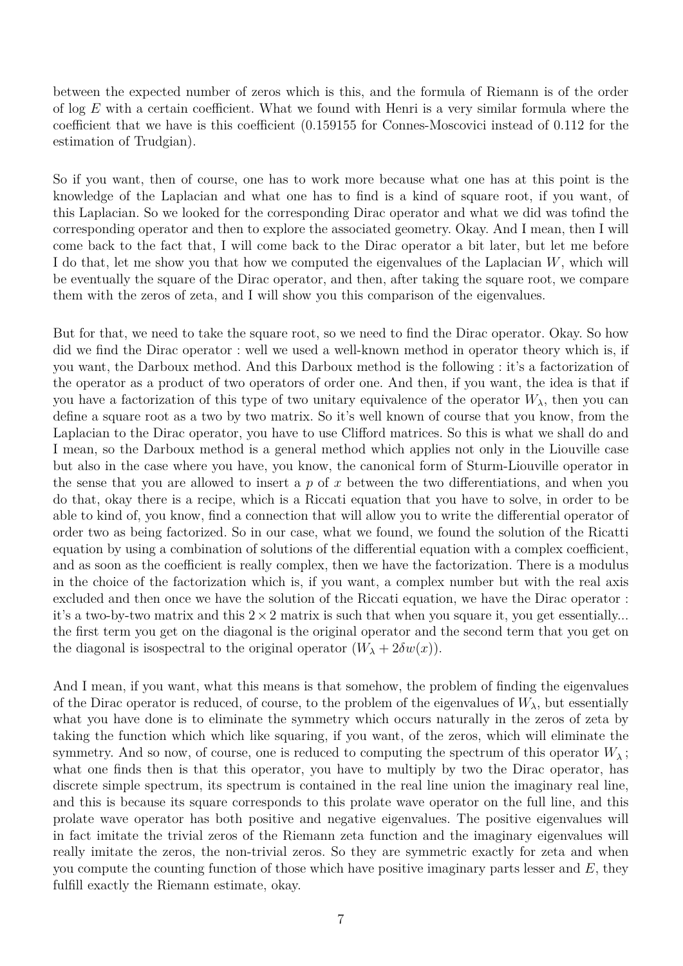between the expected number of zeros which is this, and the formula of Riemann is of the order of log *E* with a certain coefficient. What we found with Henri is a very similar formula where the coefficient that we have is this coefficient (0*.*159155 for Connes-Moscovici instead of 0*.*112 for the estimation of Trudgian).

So if you want, then of course, one has to work more because what one has at this point is the knowledge of the Laplacian and what one has to find is a kind of square root, if you want, of this Laplacian. So we looked for the corresponding Dirac operator and what we did was tofind the corresponding operator and then to explore the associated geometry. Okay. And I mean, then I will come back to the fact that, I will come back to the Dirac operator a bit later, but let me before I do that, let me show you that how we computed the eigenvalues of the Laplacian *W*, which will be eventually the square of the Dirac operator, and then, after taking the square root, we compare them with the zeros of zeta, and I will show you this comparison of the eigenvalues.

But for that, we need to take the square root, so we need to find the Dirac operator. Okay. So how did we find the Dirac operator : well we used a well-known method in operator theory which is, if you want, the Darboux method. And this Darboux method is the following : it's a factorization of the operator as a product of two operators of order one. And then, if you want, the idea is that if you have a factorization of this type of two unitary equivalence of the operator  $W_{\lambda}$ , then you can define a square root as a two by two matrix. So it's well known of course that you know, from the Laplacian to the Dirac operator, you have to use Clifford matrices. So this is what we shall do and I mean, so the Darboux method is a general method which applies not only in the Liouville case but also in the case where you have, you know, the canonical form of Sturm-Liouville operator in the sense that you are allowed to insert a *p* of *x* between the two differentiations, and when you do that, okay there is a recipe, which is a Riccati equation that you have to solve, in order to be able to kind of, you know, find a connection that will allow you to write the differential operator of order two as being factorized. So in our case, what we found, we found the solution of the Ricatti equation by using a combination of solutions of the differential equation with a complex coefficient, and as soon as the coefficient is really complex, then we have the factorization. There is a modulus in the choice of the factorization which is, if you want, a complex number but with the real axis excluded and then once we have the solution of the Riccati equation, we have the Dirac operator : it's a two-by-two matrix and this  $2 \times 2$  matrix is such that when you square it, you get essentially... the first term you get on the diagonal is the original operator and the second term that you get on the diagonal is isospectral to the original operator  $(W_{\lambda} + 2\delta w(x))$ .

And I mean, if you want, what this means is that somehow, the problem of finding the eigenvalues of the Dirac operator is reduced, of course, to the problem of the eigenvalues of  $W_{\lambda}$ , but essentially what you have done is to eliminate the symmetry which occurs naturally in the zeros of zeta by taking the function which which like squaring, if you want, of the zeros, which will eliminate the symmetry. And so now, of course, one is reduced to computing the spectrum of this operator  $W_{\lambda}$ ; what one finds then is that this operator, you have to multiply by two the Dirac operator, has discrete simple spectrum, its spectrum is contained in the real line union the imaginary real line, and this is because its square corresponds to this prolate wave operator on the full line, and this prolate wave operator has both positive and negative eigenvalues. The positive eigenvalues will in fact imitate the trivial zeros of the Riemann zeta function and the imaginary eigenvalues will really imitate the zeros, the non-trivial zeros. So they are symmetric exactly for zeta and when you compute the counting function of those which have positive imaginary parts lesser and *E*, they fulfill exactly the Riemann estimate, okay.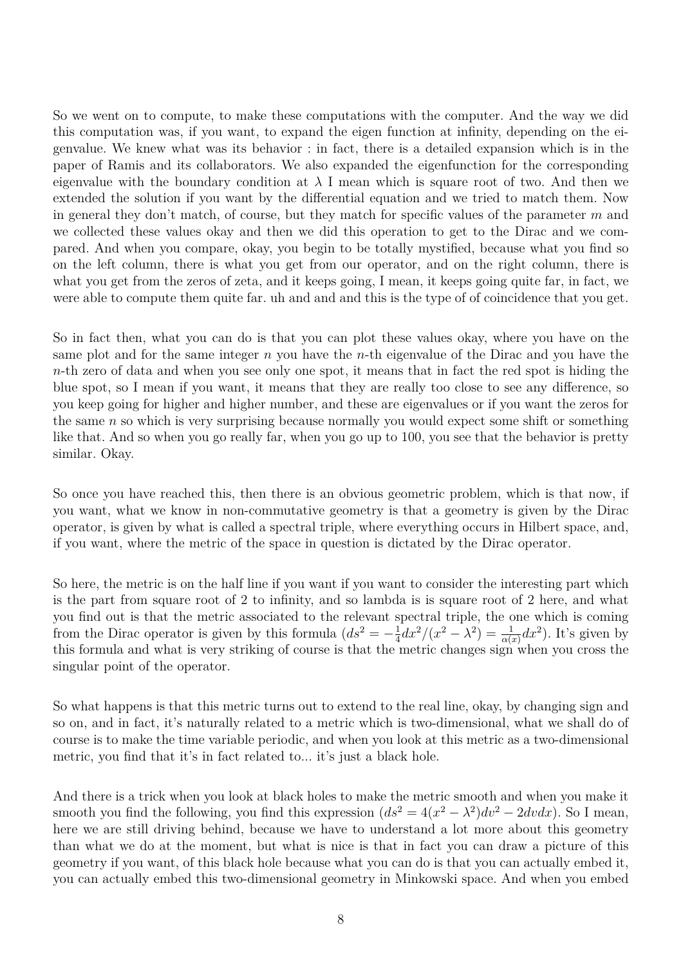So we went on to compute, to make these computations with the computer. And the way we did this computation was, if you want, to expand the eigen function at infinity, depending on the eigenvalue. We knew what was its behavior : in fact, there is a detailed expansion which is in the paper of Ramis and its collaborators. We also expanded the eigenfunction for the corresponding eigenvalue with the boundary condition at  $\lambda$  I mean which is square root of two. And then we extended the solution if you want by the differential equation and we tried to match them. Now in general they don't match, of course, but they match for specific values of the parameter *m* and we collected these values okay and then we did this operation to get to the Dirac and we compared. And when you compare, okay, you begin to be totally mystified, because what you find so on the left column, there is what you get from our operator, and on the right column, there is what you get from the zeros of zeta, and it keeps going, I mean, it keeps going quite far, in fact, we were able to compute them quite far. uh and and and this is the type of of coincidence that you get.

So in fact then, what you can do is that you can plot these values okay, where you have on the same plot and for the same integer *n* you have the *n*-th eigenvalue of the Dirac and you have the *n*-th zero of data and when you see only one spot, it means that in fact the red spot is hiding the blue spot, so I mean if you want, it means that they are really too close to see any difference, so you keep going for higher and higher number, and these are eigenvalues or if you want the zeros for the same *n* so which is very surprising because normally you would expect some shift or something like that. And so when you go really far, when you go up to 100, you see that the behavior is pretty similar. Okay.

So once you have reached this, then there is an obvious geometric problem, which is that now, if you want, what we know in non-commutative geometry is that a geometry is given by the Dirac operator, is given by what is called a spectral triple, where everything occurs in Hilbert space, and, if you want, where the metric of the space in question is dictated by the Dirac operator.

So here, the metric is on the half line if you want if you want to consider the interesting part which is the part from square root of 2 to infinity, and so lambda is is square root of 2 here, and what you find out is that the metric associated to the relevant spectral triple, the one which is coming from the Dirac operator is given by this formula  $(ds^2 = -\frac{1}{4})$  $\frac{1}{4}dx^2/(x^2-\lambda^2)=\frac{1}{\alpha(x)}dx^2$ . It's given by this formula and what is very striking of course is that the metric changes sign when you cross the singular point of the operator.

So what happens is that this metric turns out to extend to the real line, okay, by changing sign and so on, and in fact, it's naturally related to a metric which is two-dimensional, what we shall do of course is to make the time variable periodic, and when you look at this metric as a two-dimensional metric, you find that it's in fact related to... it's just a black hole.

And there is a trick when you look at black holes to make the metric smooth and when you make it smooth you find the following, you find this expression  $(ds^2 = 4(x^2 - \lambda^2)dv^2 - 2dvdx)$ . So I mean, here we are still driving behind, because we have to understand a lot more about this geometry than what we do at the moment, but what is nice is that in fact you can draw a picture of this geometry if you want, of this black hole because what you can do is that you can actually embed it, you can actually embed this two-dimensional geometry in Minkowski space. And when you embed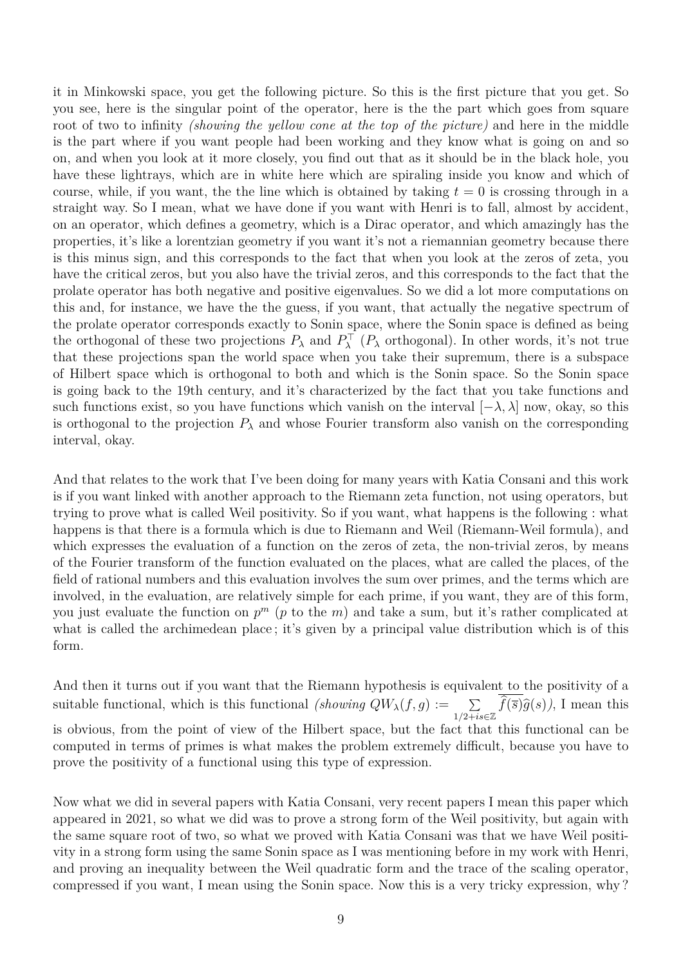it in Minkowski space, you get the following picture. So this is the first picture that you get. So you see, here is the singular point of the operator, here is the the part which goes from square root of two to infinity *(showing the yellow cone at the top of the picture)* and here in the middle is the part where if you want people had been working and they know what is going on and so on, and when you look at it more closely, you find out that as it should be in the black hole, you have these lightrays, which are in white here which are spiraling inside you know and which of course, while, if you want, the the line which is obtained by taking  $t = 0$  is crossing through in a straight way. So I mean, what we have done if you want with Henri is to fall, almost by accident, on an operator, which defines a geometry, which is a Dirac operator, and which amazingly has the properties, it's like a lorentzian geometry if you want it's not a riemannian geometry because there is this minus sign, and this corresponds to the fact that when you look at the zeros of zeta, you have the critical zeros, but you also have the trivial zeros, and this corresponds to the fact that the prolate operator has both negative and positive eigenvalues. So we did a lot more computations on this and, for instance, we have the the guess, if you want, that actually the negative spectrum of the prolate operator corresponds exactly to Sonin space, where the Sonin space is defined as being the orthogonal of these two projections  $P_\lambda$  and  $P_\lambda^{\top}$  ( $P_\lambda$  orthogonal). In other words, it's not true that these projections span the world space when you take their supremum, there is a subspace of Hilbert space which is orthogonal to both and which is the Sonin space. So the Sonin space is going back to the 19th century, and it's characterized by the fact that you take functions and such functions exist, so you have functions which vanish on the interval  $[-\lambda, \lambda]$  now, okay, so this is orthogonal to the projection  $P_\lambda$  and whose Fourier transform also vanish on the corresponding interval, okay.

And that relates to the work that I've been doing for many years with Katia Consani and this work is if you want linked with another approach to the Riemann zeta function, not using operators, but trying to prove what is called Weil positivity. So if you want, what happens is the following : what happens is that there is a formula which is due to Riemann and Weil (Riemann-Weil formula), and which expresses the evaluation of a function on the zeros of zeta, the non-trivial zeros, by means of the Fourier transform of the function evaluated on the places, what are called the places, of the field of rational numbers and this evaluation involves the sum over primes, and the terms which are involved, in the evaluation, are relatively simple for each prime, if you want, they are of this form, you just evaluate the function on *p <sup>m</sup>* (*p* to the *m*) and take a sum, but it's rather complicated at what is called the archimedean place; it's given by a principal value distribution which is of this form.

And then it turns out if you want that the Riemann hypothesis is equivalent to the positivity of a suitable functional, which is this functional *(showing*  $QW_{\lambda}(f,g) := \sum_{1/2+is\in\mathbb{Z}} f(\overline{s})\widehat{g}(s)$ ), I mean this is obvious, from the point of view of the Hilbert space, but the fact that this functional can be computed in terms of primes is what makes the problem extremely difficult, because you have to prove the positivity of a functional using this type of expression.

Now what we did in several papers with Katia Consani, very recent papers I mean this paper which appeared in 2021, so what we did was to prove a strong form of the Weil positivity, but again with the same square root of two, so what we proved with Katia Consani was that we have Weil positivity in a strong form using the same Sonin space as I was mentioning before in my work with Henri, and proving an inequality between the Weil quadratic form and the trace of the scaling operator, compressed if you want, I mean using the Sonin space. Now this is a very tricky expression, why ?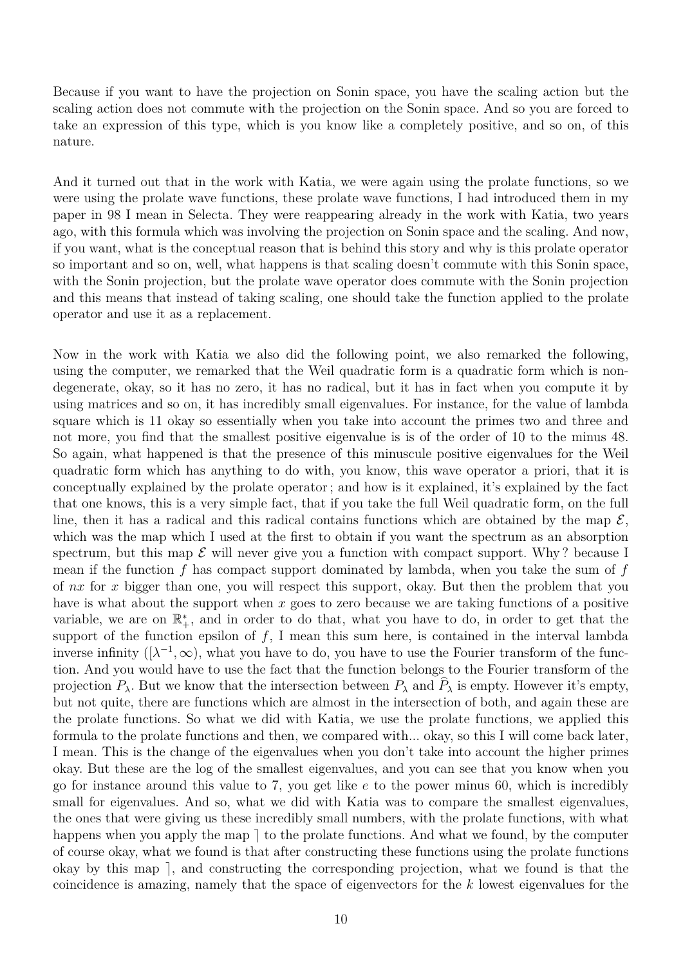Because if you want to have the projection on Sonin space, you have the scaling action but the scaling action does not commute with the projection on the Sonin space. And so you are forced to take an expression of this type, which is you know like a completely positive, and so on, of this nature.

And it turned out that in the work with Katia, we were again using the prolate functions, so we were using the prolate wave functions, these prolate wave functions, I had introduced them in my paper in 98 I mean in Selecta. They were reappearing already in the work with Katia, two years ago, with this formula which was involving the projection on Sonin space and the scaling. And now, if you want, what is the conceptual reason that is behind this story and why is this prolate operator so important and so on, well, what happens is that scaling doesn't commute with this Sonin space, with the Sonin projection, but the prolate wave operator does commute with the Sonin projection and this means that instead of taking scaling, one should take the function applied to the prolate operator and use it as a replacement.

Now in the work with Katia we also did the following point, we also remarked the following, using the computer, we remarked that the Weil quadratic form is a quadratic form which is nondegenerate, okay, so it has no zero, it has no radical, but it has in fact when you compute it by using matrices and so on, it has incredibly small eigenvalues. For instance, for the value of lambda square which is 11 okay so essentially when you take into account the primes two and three and not more, you find that the smallest positive eigenvalue is is of the order of 10 to the minus 48. So again, what happened is that the presence of this minuscule positive eigenvalues for the Weil quadratic form which has anything to do with, you know, this wave operator a priori, that it is conceptually explained by the prolate operator ; and how is it explained, it's explained by the fact that one knows, this is a very simple fact, that if you take the full Weil quadratic form, on the full line, then it has a radical and this radical contains functions which are obtained by the map  $\mathcal{E}$ , which was the map which I used at the first to obtain if you want the spectrum as an absorption spectrum, but this map  $\mathcal E$  will never give you a function with compact support. Why? because I mean if the function *f* has compact support dominated by lambda, when you take the sum of *f* of *nx* for *x* bigger than one, you will respect this support, okay. But then the problem that you have is what about the support when *x* goes to zero because we are taking functions of a positive variable, we are on  $\mathbb{R}^*_+$ , and in order to do that, what you have to do, in order to get that the support of the function epsilon of  $f$ , I mean this sum here, is contained in the interval lambda inverse infinity  $([\lambda^{-1}, \infty)$ , what you have to do, you have to use the Fourier transform of the function. And you would have to use the fact that the function belongs to the Fourier transform of the projection  $P_\lambda$ . But we know that the intersection between  $P_\lambda$  and  $\hat{P}_\lambda$  is empty. However it's empty, but not quite, there are functions which are almost in the intersection of both, and again these are the prolate functions. So what we did with Katia, we use the prolate functions, we applied this formula to the prolate functions and then, we compared with... okay, so this I will come back later, I mean. This is the change of the eigenvalues when you don't take into account the higher primes okay. But these are the log of the smallest eigenvalues, and you can see that you know when you go for instance around this value to 7, you get like *e* to the power minus 60, which is incredibly small for eigenvalues. And so, what we did with Katia was to compare the smallest eigenvalues, the ones that were giving us these incredibly small numbers, with the prolate functions, with what happens when you apply the map  $\vert$  to the prolate functions. And what we found, by the computer of course okay, what we found is that after constructing these functions using the prolate functions okay by this map  $\vert$ , and constructing the corresponding projection, what we found is that the coincidence is amazing, namely that the space of eigenvectors for the *k* lowest eigenvalues for the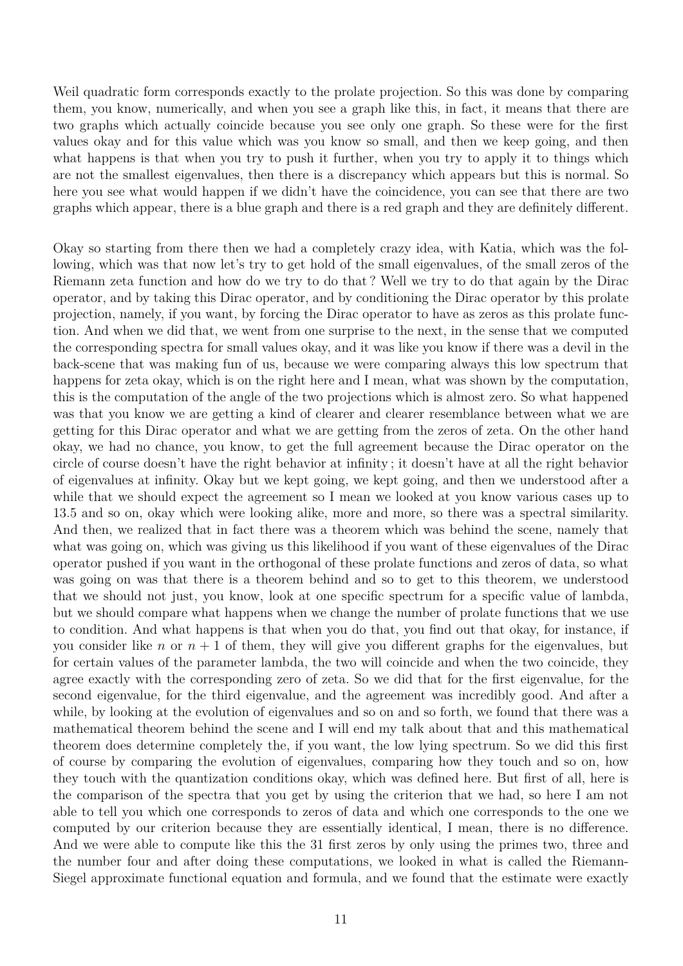Weil quadratic form corresponds exactly to the prolate projection. So this was done by comparing them, you know, numerically, and when you see a graph like this, in fact, it means that there are two graphs which actually coincide because you see only one graph. So these were for the first values okay and for this value which was you know so small, and then we keep going, and then what happens is that when you try to push it further, when you try to apply it to things which are not the smallest eigenvalues, then there is a discrepancy which appears but this is normal. So here you see what would happen if we didn't have the coincidence, you can see that there are two graphs which appear, there is a blue graph and there is a red graph and they are definitely different.

Okay so starting from there then we had a completely crazy idea, with Katia, which was the following, which was that now let's try to get hold of the small eigenvalues, of the small zeros of the Riemann zeta function and how do we try to do that ? Well we try to do that again by the Dirac operator, and by taking this Dirac operator, and by conditioning the Dirac operator by this prolate projection, namely, if you want, by forcing the Dirac operator to have as zeros as this prolate function. And when we did that, we went from one surprise to the next, in the sense that we computed the corresponding spectra for small values okay, and it was like you know if there was a devil in the back-scene that was making fun of us, because we were comparing always this low spectrum that happens for zeta okay, which is on the right here and I mean, what was shown by the computation, this is the computation of the angle of the two projections which is almost zero. So what happened was that you know we are getting a kind of clearer and clearer resemblance between what we are getting for this Dirac operator and what we are getting from the zeros of zeta. On the other hand okay, we had no chance, you know, to get the full agreement because the Dirac operator on the circle of course doesn't have the right behavior at infinity ; it doesn't have at all the right behavior of eigenvalues at infinity. Okay but we kept going, we kept going, and then we understood after a while that we should expect the agreement so I mean we looked at you know various cases up to 13.5 and so on, okay which were looking alike, more and more, so there was a spectral similarity. And then, we realized that in fact there was a theorem which was behind the scene, namely that what was going on, which was giving us this likelihood if you want of these eigenvalues of the Dirac operator pushed if you want in the orthogonal of these prolate functions and zeros of data, so what was going on was that there is a theorem behind and so to get to this theorem, we understood that we should not just, you know, look at one specific spectrum for a specific value of lambda, but we should compare what happens when we change the number of prolate functions that we use to condition. And what happens is that when you do that, you find out that okay, for instance, if you consider like *n* or  $n + 1$  of them, they will give you different graphs for the eigenvalues, but for certain values of the parameter lambda, the two will coincide and when the two coincide, they agree exactly with the corresponding zero of zeta. So we did that for the first eigenvalue, for the second eigenvalue, for the third eigenvalue, and the agreement was incredibly good. And after a while, by looking at the evolution of eigenvalues and so on and so forth, we found that there was a mathematical theorem behind the scene and I will end my talk about that and this mathematical theorem does determine completely the, if you want, the low lying spectrum. So we did this first of course by comparing the evolution of eigenvalues, comparing how they touch and so on, how they touch with the quantization conditions okay, which was defined here. But first of all, here is the comparison of the spectra that you get by using the criterion that we had, so here I am not able to tell you which one corresponds to zeros of data and which one corresponds to the one we computed by our criterion because they are essentially identical, I mean, there is no difference. And we were able to compute like this the 31 first zeros by only using the primes two, three and the number four and after doing these computations, we looked in what is called the Riemann-Siegel approximate functional equation and formula, and we found that the estimate were exactly